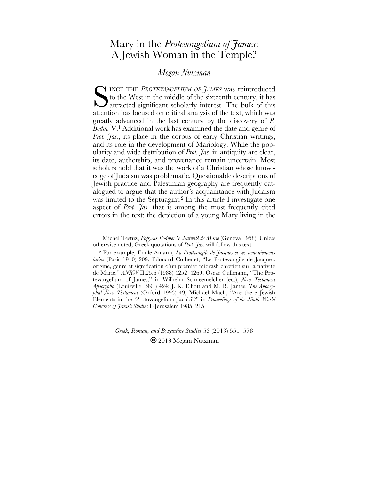# Mary in the *Protevangelium of James*: A Jewish Woman in the Temple?

## *Megan Nutzman*

INCE THE *PROTEVANGELIUM OF JAMES* was reintroduced to the West in the middle of the sixteenth century, it has SINCE THE PROTEVANGELIUM OF JAMES was reintroduced<br>to the West in the middle of the sixteenth century, it has<br>attracted significant scholarly interest. The bulk of this<br>attention has focused on critical analysis of the tex attention has focused on critical analysis of the text, which was greatly advanced in the last century by the discovery of *P. Bodm.* V.1 Additional work has examined the date and genre of *Prot. Jas.*, its place in the corpus of early Christian writings, and its role in the development of Mariology. While the popularity and wide distribution of *Prot. Jas.* in antiquity are clear, its date, authorship, and provenance remain uncertain. Most scholars hold that it was the work of a Christian whose knowledge of Judaism was problematic. Questionable descriptions of Jewish practice and Palestinian geography are frequently catalogued to argue that the author's acquaintance with Judaism was limited to the Septuagint.<sup>2</sup> In this article I investigate one aspect of *Prot. Jas.* that is among the most frequently cited errors in the text: the depiction of a young Mary living in the

<sup>1</sup> Michel Testuz, *Papyrus Bodmer* V *Nativité de Marie* (Geneva 1958). Unless otherwise noted, Greek quotations of *Prot. Jas.* will follow this text.

2 For example, Emile Amann, *La Protévangile de Jacques et ses remaniements latins* (Paris 1910) 209; Edouard Cothenet, "Le Protévangile de Jacques: origine, genre et signification d'un premier midrash chrétien sur la nativité de Marie," *ANRW* II.25.6 (1988) 4252–4269; Oscar Cullmann, "The Protevangelium of James," in Wilhelm Schneemelcher (ed.), *New Testament Apocrypha* (Louisville 1991) 424; J. K. Elliott and M. R. James, *The Apocryphal New Testament* (Oxford 1993) 49; Michael Mach, "Are there Jewish Elements in the 'Protovangelium Jacobi'?" in *Proceedings of the Ninth World Congress of Jewish Studies* I (Jerusalem 1985) 215.

> *Greek, Roman, and Byzantine Studies* 53 (2013) 551–578 2013 Megan Nutzman

—————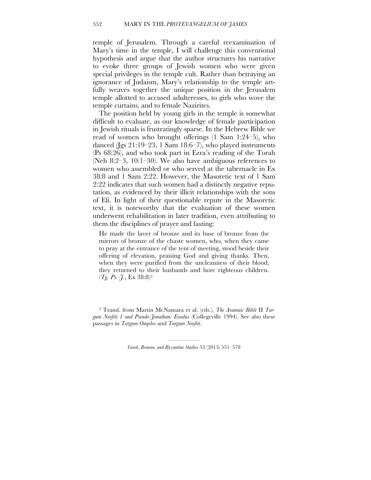temple of Jerusalem. Through a careful reexamination of Mary's time in the temple, I will challenge this conventional hypothesis and argue that the author structures his narrative to evoke three groups of Jewish women who were given special privileges in the temple cult. Rather than betraying an ignorance of Judaism, Mary's relationship to the temple artfully weaves together the unique position in the Jerusalem temple allotted to accused adulteresses, to girls who wove the temple curtains, and to female Nazirites.

The position held by young girls in the temple is somewhat difficult to evaluate, as our knowledge of female participation in Jewish rituals is frustratingly sparse. In the Hebrew Bible we read of women who brought offerings (1 Sam 1:24–5), who danced (Jgs 21:19–23, 1 Sam 18:6–7), who played instruments (Ps 68:26), and who took part in Ezra's reading of the Torah (Neh 8:2–3, 10:1–30). We also have ambiguous references to women who assembled or who served at the tabernacle in Ex 38:8 and 1 Sam 2:22. However, the Masoretic text of 1 Sam 2:22 indicates that such women had a distinctly negative reputation, as evidenced by their illicit relationships with the sons of Eli. In light of their questionable repute in the Masoretic text, it is noteworthy that the evaluation of these women underwent rehabilitation in later tradition, even attributing to them the disciplines of prayer and fasting:

He made the laver of bronze and its base of bronze from the mirrors of bronze of the chaste women, who, when they came to pray at the entrance of the tent of meeting, stood beside their offering of elevation, praising God and giving thanks. Then, when they were purified from the uncleanness of their blood, they returned to their husbands and bore righteous children. (*Tg. Ps.-J.*, Ex 38:8)3

<sup>3</sup> Transl. from Martin McNamara et al. (eds.), *The Aramaic Bible* II *Targum Neofiti 1 and Pseudo-Jonathan: Exodus* (Collegeville 1994). See also these passages in *Targum Onqelos* and *Targum Neofiti*.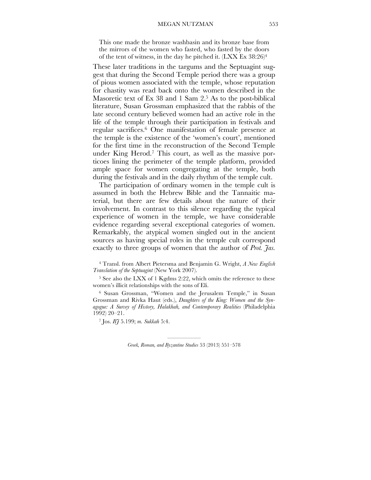This one made the bronze washbasin and its bronze base from the mirrors of the women who fasted, who fasted by the doors of the tent of witness, in the day he pitched it. (LXX Ex 38:26)4

These later traditions in the targums and the Septuagint suggest that during the Second Temple period there was a group of pious women associated with the temple, whose reputation for chastity was read back onto the women described in the Masoretic text of Ex 38 and 1 Sam 2.<sup>5</sup> As to the post-biblical literature, Susan Grossman emphasized that the rabbis of the late second century believed women had an active role in the life of the temple through their participation in festivals and regular sacrifices.6 One manifestation of female presence at the temple is the existence of the 'women's court', mentioned for the first time in the reconstruction of the Second Temple under King Herod.7 This court, as well as the massive porticoes lining the perimeter of the temple platform, provided ample space for women congregating at the temple, both during the festivals and in the daily rhythm of the temple cult.

The participation of ordinary women in the temple cult is assumed in both the Hebrew Bible and the Tannaitic material, but there are few details about the nature of their involvement. In contrast to this silence regarding the typical experience of women in the temple, we have considerable evidence regarding several exceptional categories of women. Remarkably, the atypical women singled out in the ancient sources as having special roles in the temple cult correspond exactly to three groups of women that the author of *Prot. Jas.* 

4 Transl. from Albert Pietersma and Benjamin G. Wright, *A New English Translation of the Septuagint* (New York 2007).

<sup>5</sup> See also the LXX of 1 Kgdms 2:22, which omits the reference to these women's illicit relationships with the sons of Eli.

<sup>6</sup> Susan Grossman, "Women and the Jerusalem Temple," in Susan Grossman and Rivka Haut (eds.), *Daughters of the King: Women and the Synagogue: A Survey of History, Halakhah, and Contemporary Realities* (Philadelphia 1992) 20–21.

7 Jos. *BJ* 5.199; *m. Sukkah* 5:4.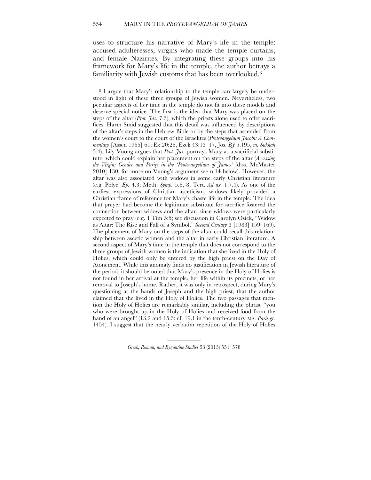uses to structure his narrative of Mary's life in the temple: accused adulteresses, virgins who made the temple curtains, and female Nazirites. By integrating these groups into his framework for Mary's life in the temple, the author betrays a familiarity with Jewish customs that has been overlooked.<sup>8</sup>

<sup>8</sup> I argue that Mary's relationship to the temple can largely be understood in light of these three groups of Jewish women. Nevertheless, two peculiar aspects of her time in the temple do not fit into these models and deserve special notice. The first is the idea that Mary was placed on the steps of the altar (*Prot. Jas.* 7.3), which the priests alone used to offer sacrifices. Harm Smid suggested that this detail was influenced by descriptions of the altar's steps in the Hebrew Bible or by the steps that ascended from the women's court to the court of the Israelites (*Protevangelium Jacobi: A Commentary* [Assen 1965] 61; Ex 20:26, Ezek 43:13–17, Jos. *BJ* 5.195, *m. Sukkah*  5:4). Lily Vuong argues that *Prot. Jas.* portrays Mary as a sacrificial substitute, which could explain her placement on the steps of the altar (*Accessing the Virgin: Gender and Purity in the 'Protevangelium of James'* [diss. McMaster 2010] 130; for more on Vuong's argument see n.14 below). However, the altar was also associated with widows in some early Christian literature (e.g. Polyc. *Ep.* 4.3; Meth. *Symp.* 5.6, 8; Tert. *Ad ux.* 1.7.4). As one of the earliest expressions of Christian asceticism, widows likely provided a Christian frame of reference for Mary's chaste life in the temple. The idea that prayer had become the legitimate substitute for sacrifice fostered the connection between widows and the altar, since widows were particularly expected to pray (e.g. 1 Tim 5:5; see discussion in Carolyn Osiek, "Widow as Altar: The Rise and Fall of a Symbol," *Second Century* 3 [1983] 159–169). The placement of Mary on the steps of the altar could recall this relationship between ascetic women and the altar in early Christian literature. A second aspect of Mary's time in the temple that does not correspond to the three groups of Jewish women is the indication that she lived in the Holy of Holies, which could only be entered by the high priest on the Day of Atonement. While this anomaly finds no justification in Jewish literature of the period, it should be noted that Mary's presence in the Holy of Holies is not found in her arrival at the temple, her life within its precincts, or her removal to Joseph's home. Rather, it was only in retrospect, during Mary's questioning at the hands of Joseph and the high priest, that the author claimed that she lived in the Holy of Holies. The two passages that mention the Holy of Holies are remarkably similar, including the phrase "you who were brought up in the Holy of Holies and received food from the hand of an angel" (13.2 and 15.3; cf. 19.1 in the tenth-century MS. *Paris.gr.* 1454). I suggest that the nearly verbatim repetition of the Holy of Holies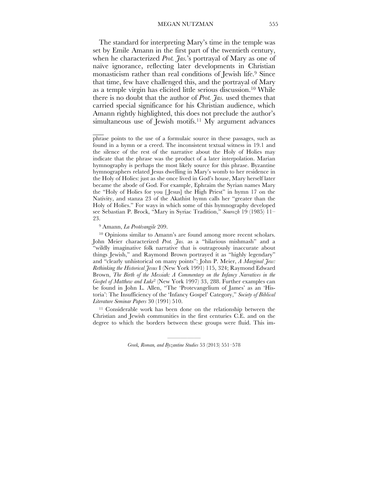The standard for interpreting Mary's time in the temple was set by Emile Amann in the first part of the twentieth century, when he characterized *Prot. Jas.*'s portrayal of Mary as one of naïve ignorance, reflecting later developments in Christian monasticism rather than real conditions of Jewish life. 9 Since that time, few have challenged this, and the portrayal of Mary as a temple virgin has elicited little serious discussion. 10 While there is no doubt that the author of *Prot. Jas.* used themes that carried special significance for his Christian audience, which Amann rightly highlighted, this does not preclude the author's simultaneous use of Jewish motifs. 11 My argument advances

<sup>9</sup> Amann, *La Protévangile* 209.

 $\mathcal{L}_\mathcal{L}$ 

<sup>10</sup> Opinions similar to Amann's are found among more recent scholars. John Meier characterized *Prot. Jas.* as a "hilarious mishmash" and a "wildly imaginative folk narrative that is outrageously inaccurate about things Jewish," and Raymond Brown portrayed it as "highly legendary" and "clearly unhistorical on many points": John P. Meier, *A Marginal Jew: Rethinking the Historical Jesus* I (New York 1991) 115, 324; Raymond Edward Brown, *The Birth of the Messiah: A Commentary on the Infancy Narratives in the Gospel of Matthew and Luke*2 (New York 1997) 33, 288. Further examples can be found in John L. Allen, "The 'Protevangelium of James' as an 'Historia': The Insufficiency of the 'Infancy Gospel' Category," *Society of Biblical Literature Seminar Papers* 30 (1991) 510.

11 Considerable work has been done on the relationship between the Christian and Jewish communities in the first centuries C.E. and on the degree to which the borders between these groups were fluid. This im-

phrase points to the use of a formulaic source in these passages, such as found in a hymn or a creed. The inconsistent textual witness in 19.1 and the silence of the rest of the narrative about the Holy of Holies may indicate that the phrase was the product of a later interpolation. Marian hymnography is perhaps the most likely source for this phrase. Byzantine hymnographers related Jesus dwelling in Mary's womb to her residence in the Holy of Holies: just as she once lived in God's house, Mary herself later became the abode of God. For example, Ephraim the Syrian names Mary the "Holy of Holies for you [ Jesus] the High Priest" in hymn 17 on the Nativity, and stanza 23 of the Akathist hymn calls her "greater than the Holy of Holies." For ways in which some of this hymnography developed see Sebastian P. Brock, "Mary in Syriac Tradition," *Sourozh* 19 (1985) 11– 23.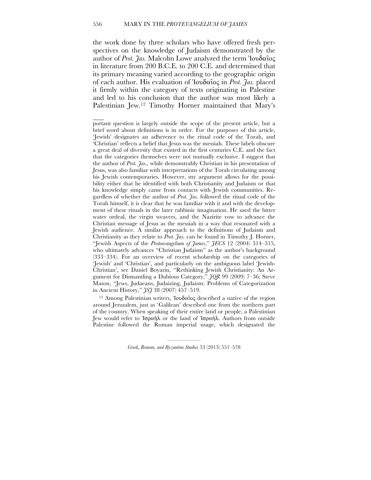## 556 MARY IN THE *PROTEVANGELIUM OF JAMES*

 $\overline{\phantom{a}}$ 

the work done by three scholars who have offered fresh perspectives on the knowledge of Judaism demonstrated by the author of *Prot. Jas.* Malcolm Lowe analyzed the term Ἰουδαῖος in literature from 200 B.C.E. to 200 C.E. and determined that its primary meaning varied according to the geographic origin of each author. His evaluation of Ἰουδαῖος in *Prot. Jas.* placed it firmly within the category of texts originating in Palestine and led to his conclusion that the author was most likely a Palestinian Jew. <sup>12</sup> Timothy Horner maintained that Mary's

<sup>12</sup> Among Palestinian writers, Ἰουδαΐος described a native of the region around Jerusalem, just as 'Galilean' described one from the northern part of the country. When speaking of their entire land or people, a Palestinian Jew would refer to Ἰσραήλ or the land of Ἰσραήλ. Authors from outside Palestine followed the Roman imperial usage, which designated the

portant question is largely outside the scope of the present article, but a brief word about definitions is in order. For the purposes of this article, 'Jewish' designates an adherence to the ritual code of the Torah, and 'Christian' reflects a belief that Jesus was the messiah. These labels obscure a great deal of diversity that existed in the first centuries C.E. and the fact that the categories themselves were not mutually exclusive. I suggest that the author of *Prot. Jas.,* while demonstrably Christian in his presentation of Jesus, was also familiar with interpretations of the Torah circulating among his Jewish contemporaries. However, my argument allows for the possibility either that he identified with both Christianity and Judaism or that his knowledge simply came from contacts with Jewish communities. Regardless of whether the author of *Prot. Jas.* followed the ritual code of the Torah himself, it is clear that he was familiar with it and with the development of these rituals in the later rabbinic imagination. He used the bitter water ordeal, the virgin weavers, and the Nazirite vow to advance the Christian message of Jesus as the messiah in a way that resonated with a Jewish audience. A similar approach to the definitions of Judaism and Christianity as they relate to *Prot. Jas.* can be found in Timothy J. Horner, "Jewish Aspects of the *Protoevangelium of James*," *JECS* 12 (2004) 314–315, who ultimately advances "Christian Judaism" as the author's background (333–334). For an overview of recent scholarship on the categories of 'Jewish' and 'Christian', and particularly on the ambiguous label 'Jewish-Christian', see Daniel Boyarin, "Rethinking Jewish Christianity: An Argument for Dismantling a Dubious Category," *JQR* 99 (2009) 7–36; Steve Mason, "Jews, Judaeans, Judaizing, Judaism: Problems of Categorization in Ancient History," *JSJ* 38 (2007) 457–519.

<sup>—————</sup> *Greek, Roman, and Byzantine Studies* 53 (2013) 551–578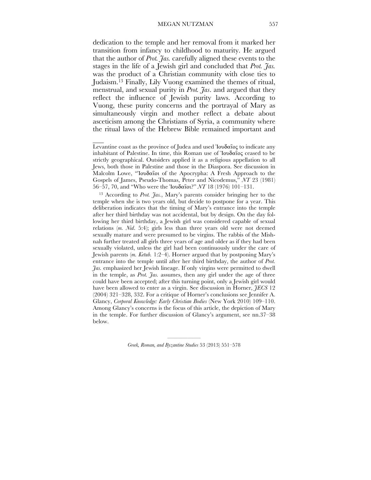dedication to the temple and her removal from it marked her transition from infancy to childhood to maturity. He argued that the author of *Prot. Jas.* carefully aligned these events to the stages in the life of a Jewish girl and concluded that *Prot. Jas.* was the product of a Christian community with close ties to Judaism. <sup>13</sup> Finally, Lily Vuong examined the themes of ritual, menstrual, and sexual purity in *Prot. Jas*. and argued that they reflect the influence of Jewish purity laws. According to Vuong, these purity concerns and the portrayal of Mary as simultaneously virgin and mother reflect a debate about asceticism among the Christians of Syria, a community where the ritual laws of the Hebrew Bible remained important and

 $\mathcal{L}_\mathcal{L}$ 

Levantine coast as the province of Judea and used Ἰουδαῖος to indicate any inhabitant of Palestine. In time, this Roman use of Ἰουδαῖος ceased to be strictly geographical. Outsiders applied it as a religious appellation to all Jews, both those in Palestine and those in the Diaspora. See discussion in Malcolm Lowe, "Ἰουδαῖοι of the Apocrypha: A Fresh Approach to the Gospels of James, Pseudo-Thomas, Peter and Nicodemus," *NT* 23 (1981) 56–57, 70, and "Who were the Ἰουδαῖοι?" *NT* 18 (1976) 101–131.

<sup>13</sup> According to *Prot. Jas.*, Mary's parents consider bringing her to the temple when she is two years old, but decide to postpone for a year. This deliberation indicates that the timing of Mary's entrance into the temple after her third birthday was not accidental, but by design. On the day following her third birthday, a Jewish girl was considered capable of sexual relations (*m. Nid*. 5:4); girls less than three years old were not deemed sexually mature and were presumed to be virgins. The rabbis of the Mishnah further treated all girls three years of age and older as if they had been sexually violated, unless the girl had been continuously under the care of Jewish parents (*m. Ketub.* 1:2–4). Horner argued that by postponing Mary's entrance into the temple until after her third birthday, the author of *Prot. Jas.* emphasized her Jewish lineage. If only virgins were permitted to dwell in the temple, as *Prot. Jas.* assumes, then any girl under the age of three could have been accepted; after this turning point, only a Jewish girl would have been allowed to enter as a virgin. See discussion in Horner, *JECS* 12 (2004) 321–328, 332. For a critique of Horner's conclusions see Jennifer A. Glancy, *Corporal Knowledge: Early Christian Bodies* (New York 2010) 109–110. Among Glancy's concerns is the focus of this article, the depiction of Mary in the temple. For further discussion of Glancy's argument, see nn.37–38 below.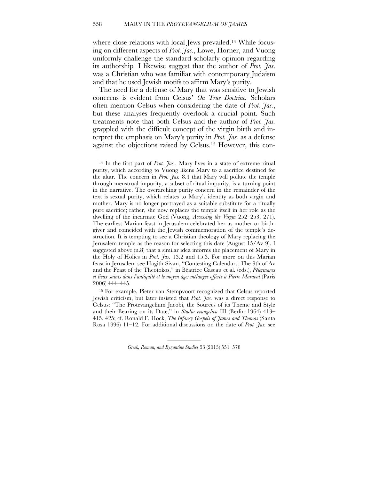where close relations with local Jews prevailed.<sup>14</sup> While focusing on different aspects of *Prot. Jas.*, Lowe, Horner, and Vuong uniformly challenge the standard scholarly opinion regarding its authorship*.* I likewise suggest that the author of *Prot. Jas*. was a Christian who was familiar with contemporary Judaism and that he used Jewish motifs to affirm Mary's purity.

The need for a defense of Mary that was sensitive to Jewish concerns is evident from Celsus' *On True Doctrine.* Scholars often mention Celsus when considering the date of *Prot. Jas.*, but these analyses frequently overlook a crucial point. Such treatments note that both Celsus and the author of *Prot. Jas.*  grappled with the difficult concept of the virgin birth and interpret the emphasis on Mary's purity in *Prot. Jas.* as a defense against the objections raised by Celsus. 15 However, this con-

15 For example, Pieter van Stempvoort recognized that Celsus reported Jewish criticism, but later insisted that *Prot. Jas.* was a direct response to Celsus: "The Protevangelium Jacobi, the Sources of its Theme and Style and their Bearing on its Date," in *Studia evangelica* III (Berlin 1964) 413– 415, 425; cf. Ronald F. Hock, *The Infancy Gospels of James and Thomas* (Santa Rosa 1996) 11–12. For additional discussions on the date of *Prot. Jas.* see

<sup>14</sup> In the first part of *Prot. Jas.*, Mary lives in a state of extreme ritual purity, which according to Vuong likens Mary to a sacrifice destined for the altar. The concern in *Prot. Jas.* 8.4 that Mary will pollute the temple through menstrual impurity, a subset of ritual impurity, is a turning point in the narrative. The overarching purity concern in the remainder of the text is sexual purity, which relates to Mary's identity as both virgin and mother. Mary is no longer portrayed as a suitable substitute for a ritually pure sacrifice; rather, she now replaces the temple itself in her role as the dwelling of the incarnate God (Vuong, *Accessing the Virgin* 252–253, 271). The earliest Marian feast in Jerusalem celebrated her as mother or birthgiver and coincided with the Jewish commemoration of the temple's destruction. It is tempting to see a Christian theology of Mary replacing the Jerusalem temple as the reason for selecting this date (August 15/Av 9). I suggested above (n.8) that a similar idea informs the placement of Mary in the Holy of Holies in *Prot. Jas.* 13.2 and 15.3. For more on this Marian feast in Jerusalem see Hagith Sivan, "Contesting Calendars: The 9th of Av and the Feast of the Theotokos," in Béatrice Caseau et al. (eds.), *Pèlerinages et lieux saints dans l'antiquité et le moyen âge: mélanges offerts à Pierre Maraval* (Paris 2006) 444–445.

<sup>—————</sup> *Greek, Roman, and Byzantine Studies* 53 (2013) 551–578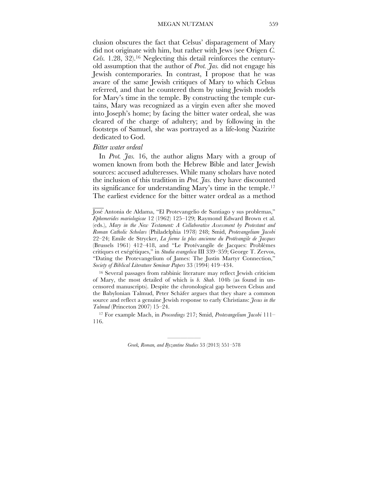clusion obscures the fact that Celsus' disparagement of Mary did not originate with him, but rather with Jews (see Origen *C. Cels.* 1.28, 32). <sup>16</sup> Neglecting this detail reinforces the centuryold assumption that the author of *Prot. Jas.* did not engage his Jewish contemporaries. In contrast, I propose that he was aware of the same Jewish critiques of Mary to which Celsus referred, and that he countered them by using Jewish models for Mary's time in the temple. By constructing the temple curtains, Mary was recognized as a virgin even after she moved into Joseph's home; by facing the bitter water ordeal, she was cleared of the charge of adultery; and by following in the footsteps of Samuel, she was portrayed as a life-long Nazirite dedicated to God.

#### *Bitter water ordeal*

 $\overline{\phantom{a}}$ 

In *Prot. Jas.* 16, the author aligns Mary with a group of women known from both the Hebrew Bible and later Jewish sources: accused adulteresses. While many scholars have noted the inclusion of this tradition in *Prot. Jas.* they have discounted its significance for understanding Mary's time in the temple. 17 The earliest evidence for the bitter water ordeal as a method

16 Several passages from rabbinic literature may reflect Jewish criticism of Mary, the most detailed of which is *b. Shab.* 104b (as found in uncensored manuscripts). Despite the chronological gap between Celsus and the Babylonian Talmud, Peter Schäfer argues that they share a common source and reflect a genuine Jewish response to early Christians: *Jesus in the Talmud* (Princeton 2007) 15–24.

<sup>17</sup> For example Mach, in *Proceedings* 217; Smid, *Protevangelium Jacobi* 111– 116.

José Antonia de Aldama, "El Protevangelio de Santiago y sus problemas," *Ephemerides mariologicae* 12 (1962) 125–129; Raymond Edward Brown et al. (eds.), *Mary in the New Testament: A Collaborative Assessment by Protestant and Roman Catholic Scholars* (Philadelphia 1978) 248; Smid, *Protevangelium Jacobi* 22–24; Emile de Strycker, *La forme la plus ancienne du Protévangile de Jacques* (Brussels 1961) 412–418, and "Le Protévangile de Jacques: Problèmes critiques et exégétiques," in *Studia evangelica* III 339–359; George T. Zervos, "Dating the Protevangelium of James: The Justin Martyr Connection," *Society of Biblical Literature Seminar Papers* 33 (1994) 419–434.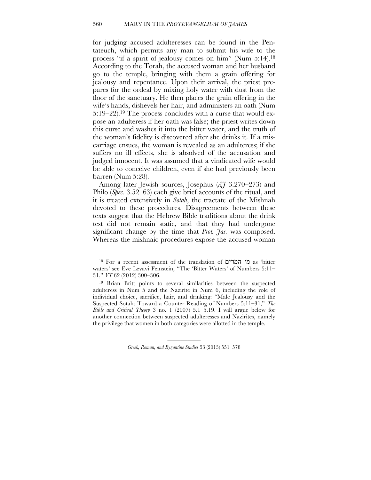## 560 MARY IN THE *PROTEVANGELIUM OF JAMES*

for judging accused adulteresses can be found in the Pentateuch, which permits any man to submit his wife to the process "if a spirit of jealousy comes on him" (Num 5:14). 18 According to the Torah, the accused woman and her husband go to the temple, bringing with them a grain offering for jealousy and repentance. Upon their arrival, the priest prepares for the ordeal by mixing holy water with dust from the floor of the sanctuary. He then places the grain offering in the wife's hands, dishevels her hair, and administers an oath (Num 5:19–22). 19 The process concludes with a curse that would expose an adulteress if her oath was false; the priest writes down this curse and washes it into the bitter water, and the truth of the woman's fidelity is discovered after she drinks it. If a miscarriage ensues, the woman is revealed as an adulteress; if she suffers no ill effects, she is absolved of the accusation and judged innocent. It was assumed that a vindicated wife would be able to conceive children, even if she had previously been barren (Num 5:28).

Among later Jewish sources, Josephus (*AJ* 3.270–273) and Philo (*Spec.* 3.52–63) each give brief accounts of the ritual, and it is treated extensively in *Sotah*, the tractate of the Mishnah devoted to these procedures. Disagreements between these texts suggest that the Hebrew Bible traditions about the drink test did not remain static, and that they had undergone significant change by the time that *Prot. Jas.* was composed. Whereas the mishnaic procedures expose the accused woman

19 Brian Britt points to several similarities between the suspected adulteress in Num 5 and the Nazirite in Num 6, including the role of individual choice, sacrifice, hair, and drinking: "Male Jealousy and the Suspected Sotah: Toward a Counter-Reading of Numbers 5:11–31," *The Bible and Critical Theory* 3 no. 1 (2007) 5.1–5.19. I will argue below for another connection between suspected adulteresses and Nazirites, namely the privilege that women in both categories were allotted in the temple.

<sup>18</sup> For a recent assessment of the translation of המרים מי as 'bitter waters' see Eve Levavi Feinstein, "The 'Bitter Waters' of Numbers 5:11– 31," *VT* 62 (2012) 300–306.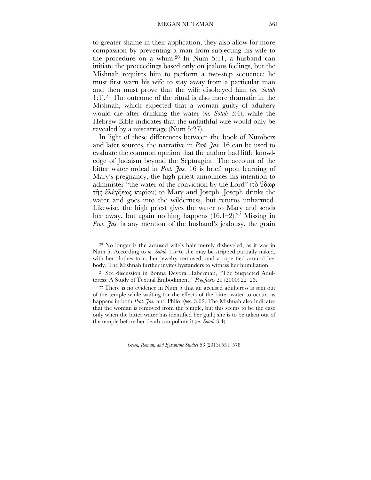to greater shame in their application, they also allow for more compassion by preventing a man from subjecting his wife to the procedure on a whim. 20 In Num 5:11, a husband can initiate the proceedings based only on jealous feelings, but the Mishnah requires him to perform a two-step sequence: he must first warn his wife to stay away from a particular man and then must prove that the wife disobeyed him (*m. Sotah* 1:1). <sup>21</sup> The outcome of the ritual is also more dramatic in the Mishnah, which expected that a woman guilty of adultery would die after drinking the water (*m. Sotah* 3:4), while the Hebrew Bible indicates that the unfaithful wife would only be revealed by a miscarriage (Num 5:27).

In light of these differences between the book of Numbers and later sources, the narrative in *Prot. Jas.* 16 can be used to evaluate the common opinion that the author had little knowledge of Judaism beyond the Septuagint. The account of the bitter water ordeal in *Prot. Jas.* 16 is brief: upon learning of Mary's pregnancy, the high priest announces his intention to administer "the water of the conviction by the Lord" (τὸ ὕδωρ τῆς ἐλέγξεως κυρίου) to Mary and Joseph. Joseph drinks the water and goes into the wilderness, but returns unharmed. Likewise, the high priest gives the water to Mary and sends her away, but again nothing happens (16.1–2). 22 Missing in *Prot. Jas.* is any mention of the husband's jealousy, the grain

21 See discussion in Bonna Devora Haberman, "The Suspected Adulteress: A Study of Textual Embodiment," *Prooftexts* 20 (2000) 22–23.

22 There is no evidence in Num 5 that an accused adulteress is sent out of the temple while waiting for the effects of the bitter water to occur, as happens in both *Prot. Jas.* and Philo *Spec.* 3.62. The Mishnah also indicates that the woman is removed from the temple, but this seems to be the case only when the bitter water has identified her guilt; she is to be taken out of the temple before her death can pollute it (*m. Sotah* 3:4).

<sup>20</sup> No longer is the accused wife's hair merely disheveled, as it was in Num 5. According to *m. Sotah* 1.5–6, she may be stripped partially naked, with her clothes torn, her jewelry removed, and a rope tied around her body. The Mishnah further invites bystanders to witness her humiliation.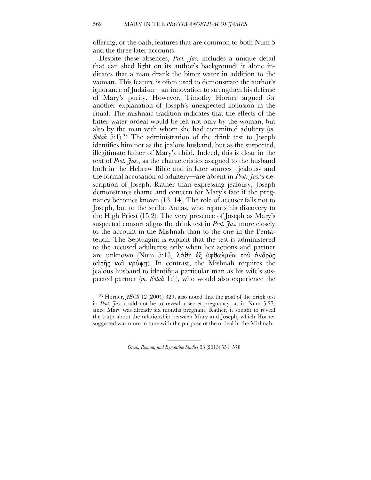offering, or the oath, features that are common to both Num 5 and the three later accounts.

Despite these absences, *Prot. Jas.* includes a unique detail that can shed light on its author's background: it alone indicates that a man drank the bitter water in addition to the woman. This feature is often used to demonstrate the author's ignorance of Judaism—an innovation to strengthen his defense of Mary's purity. However, Timothy Horner argued for another explanation of Joseph's unexpected inclusion in the ritual. The mishnaic tradition indicates that the effects of the bitter water ordeal would be felt not only by the woman, but also by the man with whom she had committed adultery (*m. Sotah* 5:1). 23 The administration of the drink test to Joseph identifies him not as the jealous husband, but as the suspected, illegitimate father of Mary's child. Indeed, this is clear in the text of *Prot. Jas.*, as the characteristics assigned to the husband both in the Hebrew Bible and in later sources—jealousy and the formal accusation of adultery—are absent in *Prot. Jas.*'s description of Joseph. Rather than expressing jealousy, Joseph demonstrates shame and concern for Mary's fate if the pregnancy becomes known (13–14). The role of accuser falls not to Joseph, but to the scribe Annas, who reports his discovery to the High Priest (15.2). The very presence of Joseph as Mary's suspected consort aligns the drink test in *Prot. Jas.* more closely to the account in the Mishnah than to the one in the Pentateuch. The Septuagint is explicit that the test is administered to the accused adulteress only when her actions and partner are unknown (Num 5:13, λάθῃ ἐξ ὀφθαλµῶν τοῦ ἀνδρὸς αὐτῆς καὶ κρύψῃ). In contrast, the Mishnah requires the jealous husband to identify a particular man as his wife's suspected partner (*m. Sotah* 1:1), who would also experience the

<sup>23</sup> Horner, *JECS* 12 (2004) 329, also noted that the goal of the drink test in *Prot. Jas.* could not be to reveal a secret pregnancy, as in Num 5:27, since Mary was already six months pregnant. Rather, it sought to reveal the truth about the relationship between Mary and Joseph, which Horner suggested was more in tune with the purpose of the ordeal in the Mishnah.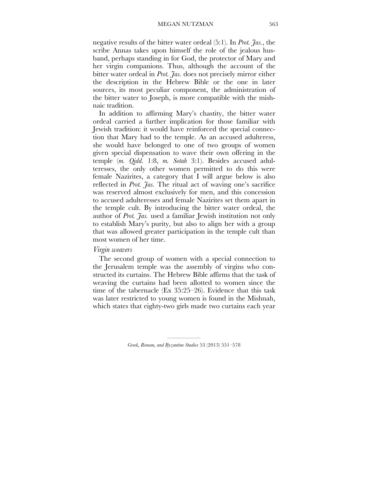negative results of the bitter water ordeal (5:1). In *Prot. Jas.*, the scribe Annas takes upon himself the role of the jealous husband, perhaps standing in for God, the protector of Mary and her virgin companions. Thus, although the account of the bitter water ordeal in *Prot. Jas.* does not precisely mirror either the description in the Hebrew Bible or the one in later sources, its most peculiar component, the administration of the bitter water to Joseph, is more compatible with the mishnaic tradition.

In addition to affirming Mary's chastity, the bitter water ordeal carried a further implication for those familiar with Jewish tradition: it would have reinforced the special connection that Mary had to the temple. As an accused adulteress, she would have belonged to one of two groups of women given special dispensation to wave their own offering in the temple (*m. Qidd.* 1:8, *m. Sotah* 3:1). Besides accused adulteresses, the only other women permitted to do this were female Nazirites, a category that I will argue below is also reflected in *Prot. Jas.* The ritual act of waving one's sacrifice was reserved almost exclusively for men, and this concession to accused adulteresses and female Nazirites set them apart in the temple cult. By introducing the bitter water ordeal, the author of *Prot. Jas.* used a familiar Jewish institution not only to establish Mary's purity, but also to align her with a group that was allowed greater participation in the temple cult than most women of her time.

## *Virgin weavers*

The second group of women with a special connection to the Jerusalem temple was the assembly of virgins who constructed its curtains. The Hebrew Bible affirms that the task of weaving the curtains had been allotted to women since the time of the tabernacle (Ex 35:25–26). Evidence that this task was later restricted to young women is found in the Mishnah, which states that eighty-two girls made two curtains each year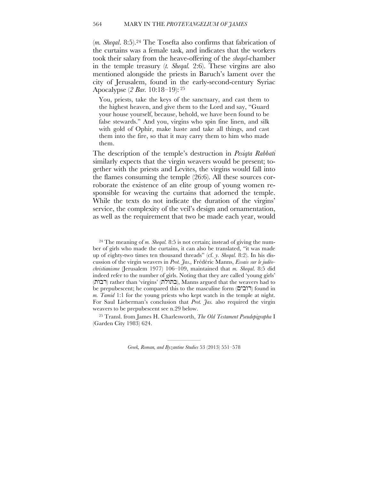## 564 MARY IN THE *PROTEVANGELIUM OF JAMES*

(*m. Sheqal*. 8:5). 24 The Tosefta also confirms that fabrication of the curtains was a female task, and indicates that the workers took their salary from the heave-offering of the *sheqel*-chamber in the temple treasury (*t. Sheqal.* 2:6). These virgins are also mentioned alongside the priests in Baruch's lament over the city of Jerusalem, found in the early-second-century Syriac Apocalypse (*2 Bar.* 10:18–19): <sup>25</sup>

You, priests, take the keys of the sanctuary, and cast them to the highest heaven, and give them to the Lord and say, "Guard your house yourself, because, behold, we have been found to be false stewards." And you, virgins who spin fine linen, and silk with gold of Ophir, make haste and take all things, and cast them into the fire, so that it may carry them to him who made them.

The description of the temple's destruction in *Pesiqta Rabbati*  similarly expects that the virgin weavers would be present; together with the priests and Levites, the virgins would fall into the flames consuming the temple (26:6). All these sources corroborate the existence of an elite group of young women responsible for weaving the curtains that adorned the temple. While the texts do not indicate the duration of the virgins' service, the complexity of the veil's design and ornamentation, as well as the requirement that two be made each year, would

24 The meaning of *m. Sheqal.* 8:5 is not certain; instead of giving the number of girls who made the curtains, it can also be translated, "it was made up of eighty-two times ten thousand threads" (cf. *y. Sheqal.* 8:2). In his discussion of the virgin weavers in *Prot. Jas.,* Frédéric Manns, *Essais sur le judéochristianisme* (Jerusalem 1977) 106–109, maintained that *m. Sheqal.* 8:5 did indeed refer to the number of girls. Noting that they are called 'young girls' (רבות) rather than 'virgins' (בתולת), Manns argued that the weavers had to be prepubescent; he compared this to the masculine form (רובים) found in *m. Tamid* 1:1 for the young priests who kept watch in the temple at night. For Saul Lieberman's conclusion that *Prot. Jas.* also required the virgin weavers to be prepubescent see n.29 below.

<sup>25</sup> Transl. from James H. Charlesworth, *The Old Testament Pseudepigrapha* I (Garden City 1983) 624.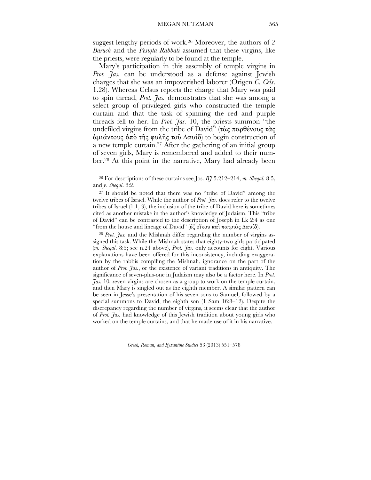suggest lengthy periods of work. 26 Moreover, the authors of *2 Baruch* and the *Pesiqta Rabbati* assumed that these virgins, like the priests, were regularly to be found at the temple.

Mary's participation in this assembly of temple virgins in *Prot. Jas.* can be understood as a defense against Jewish charges that she was an impoverished laborer (Origen *C. Cels*. 1.28). Whereas Celsus reports the charge that Mary was paid to spin thread, *Prot. Jas.* demonstrates that she was among a select group of privileged girls who constructed the temple curtain and that the task of spinning the red and purple threads fell to her. In *Prot. Jas.* 10, the priests summon "the undefiled virgins from the tribe of David" (τὰς παρθένους τὰς άμιάντους άπὸ τῆς φυλῆς τοῦ Δαυίδ) to begin construction of a new temple curtain. 27 After the gathering of an initial group of seven girls, Mary is remembered and added to their number. 28 At this point in the narrative, Mary had already been

26 For descriptions of these curtains see Jos. *BJ* 5.212–214, *m. Sheqal.* 8:5, and *y. Sheqal*. 8:2.

27 It should be noted that there was no "tribe of David" among the twelve tribes of Israel. While the author of *Prot. Jas.* does refer to the twelve tribes of Israel (1.1, 3), the inclusion of the tribe of David here is sometimes cited as another mistake in the author's knowledge of Judaism. This "tribe of David" can be contrasted to the description of Joseph in Lk 2:4 as one "from the house and lineage of David" (ἐξ οἴκου καὶ πατριᾶς Δαυίδ).

<sup>28</sup> *Prot. Jas.* and the Mishnah differ regarding the number of virgins assigned this task. While the Mishnah states that eighty-two girls participated (*m. Sheqal*. 8:5; see n.24 above), *Prot. Jas.* only accounts for eight. Various explanations have been offered for this inconsistency, including exaggeration by the rabbis compiling the Mishnah, ignorance on the part of the author of *Prot. Jas.*, or the existence of variant traditions in antiquity. The significance of seven-plus-one in Judaism may also be a factor here. In *Prot. Jas.* 10*, s*even virgins are chosen as a group to work on the temple curtain, and then Mary is singled out as the eighth member. A similar pattern can be seen in Jesse's presentation of his seven sons to Samuel, followed by a special summons to David, the eighth son (1 Sam 16:8–12). Despite the discrepancy regarding the number of virgins, it seems clear that the author of *Prot. Jas.* had knowledge of this Jewish tradition about young girls who worked on the temple curtains, and that he made use of it in his narrative.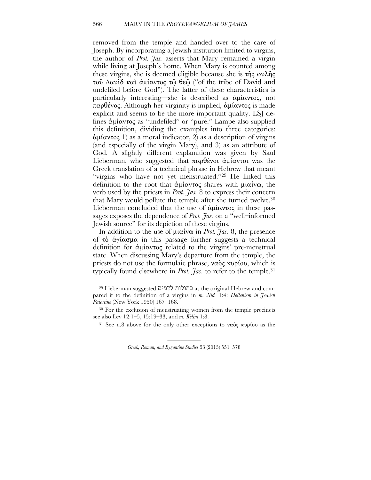removed from the temple and handed over to the care of Joseph. By incorporating a Jewish institution limited to virgins, the author of *Prot. Jas.* asserts that Mary remained a virgin while living at Joseph's home. When Mary is counted among these virgins, she is deemed eligible because she is τῆς φυλῆς τοῦ Hαυὶδ καὶ ἀµίαντος τῷ θεῷ ("of the tribe of David and undefiled before God"). The latter of these characteristics is particularly interesting—she is described as ἀµίαντος, not παρθένος. Although her virginity is implied, ἀµίαντος is made explicit and seems to be the more important quality. LSJ defines ἀµίαντος as "undefiled" or "pure." Lampe also supplied this definition, dividing the examples into three categories: ἀµίαντος 1) as a moral indicator, 2) as a description of virgins (and especially of the virgin Mary), and 3) as an attribute of God. A slightly different explanation was given by Saul Lieberman, who suggested that  $\pi \alpha \beta$ θένοι άμίαντοι was the Greek translation of a technical phrase in Hebrew that meant "virgins who have not yet menstruated."<sup>29</sup> He linked this definition to the root that ἀµίαντος shares with µιαίνω, the verb used by the priests in *Prot. Jas.* 8 to express their concern that Mary would pollute the temple after she turned twelve. 30 Lieberman concluded that the use of ἀµίαντος in these passages exposes the dependence of *Prot. Jas.* on a "well–informed Jewish source" for its depiction of these virgins.

In addition to the use of µιαίνω in *Prot. Jas.* 8, the presence of τὸ ἁγίασµα in this passage further suggests a technical definition for ἀµίαντος related to the virgins' pre-menstrual state. When discussing Mary's departure from the temple, the priests do not use the formulaic phrase, ναὸς κυρίου, which is typically found elsewhere in *Prot. Jas*. to refer to the temple. 31

<sup>29</sup> Lieberman suggested לדמים בתולות as the original Hebrew and compared it to the definition of a virgins in *m. Nid.* 1:4: *Hellenism in Jewish Palestine* (New York 1950) 167–168.

<sup>&</sup>lt;sup>30</sup> For the exclusion of menstruating women from the temple precincts see also Lev 12:1–5, 15:19–33, and *m. Kelim* 1:8.

<sup>&</sup>lt;sup>31</sup> See n.8 above for the only other exceptions to ναὸς κυρίου as the

<sup>—————</sup> *Greek, Roman, and Byzantine Studies* 53 (2013) 551–578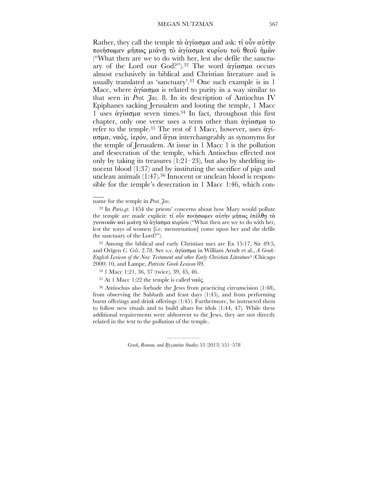Rather, they call the temple τὸ ἁγίασμα and ask: τί οὖν αὐτὴν ποιήσωµεν µήπως µιάνῃ τὸ ἁγίασµα κυρίου τοῦ θεοῦ ἡµῶν ("What then are we to do with her, lest she defile the sanctuary of the Lord our God?"). 32 The word ἁγίασµα occurs almost exclusively in biblical and Christian literature and is usually translated as 'sanctuary'. 33 One such example is in 1 Macc, where ἁγίασµα is related to purity in a way similar to that seen in *Prot. Jas.* 8. In its description of Antiochus IV Epiphanes sacking Jerusalem and looting the temple, 1 Macc 1 uses ἁγίασµα seven times. 34 In fact, throughout this first chapter, only one verse uses a term other than άγίασμα to refer to the temple. 35 The rest of 1 Macc, however, uses ἁγίασµα, ναός, ἱερόν, and ἅγια interchangeably as synonyms for the temple of Jerusalem. At issue in 1 Macc 1 is the pollution and desecration of the temple, which Antiochus effected not only by taking its treasures  $(1:21-23)$ , but also by shedding innocent blood (1:37) and by instituting the sacrifice of pigs and unclean animals (1:47). 36 Innocent or unclean blood is responsible for the temple's desecration in 1 Macc 1:46, which con-

 $\overline{\phantom{a}}$ 

33 Among the biblical and early Christian uses are Ex 15:17, Sir 49:5, and Origen *C. Cels*. 2.78. See s.v. ἁγίασµα in William Arndt et al., *A Greek-English Lexicon of the New Testament and other Early Christian Literature*3 (Chicago 2000) 10, and Lampe, *Patristic Greek Lexicon* 89.

34 1 Macc 1:21, 36, 37 (twice), 39, 45, 46.

<sup>35</sup> At 1 Macc 1:22 the temple is called ναός.

36 Antiochus also forbade the Jews from practicing circumcision (1:48), from observing the Sabbath and feast days (1:45), and from performing burnt offerings and drink offerings (1:45). Furthermore, he instructed them to follow new rituals and to build altars for idols (1:44, 47). While these additional requirements were abhorrent to the Jews, they are not directly related in the text to the pollution of the temple.

name for the temple in *Prot. Jas.*

<sup>32</sup> In *Paris.gr.* 1454 the priests' concerns about how Mary would pollute the temple are made explicit: τί οὖν ποιήσωμεν αὐτὴν μήπως ἐπέλθῃ τὰ γυναικῶν καὶ µιάνῃ τὸ ἁγίασµα κυρίου ("What then are we to do with her, lest the ways of women [i.e. menstruation] come upon her and she defile the sanctuary of the Lord?").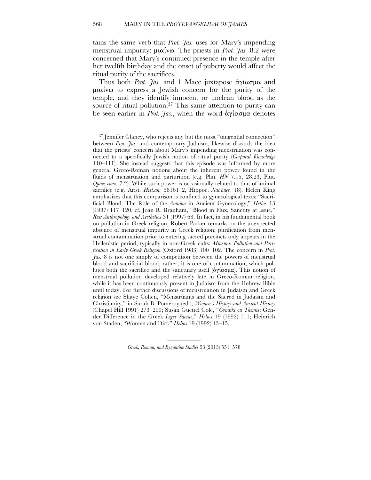tains the same verb that *Prot. Jas.* uses for Mary's impending menstrual impurity: µιαίνω. The priests in *Prot. Jas.* 8.2 were concerned that Mary's continued presence in the temple after her twelfth birthday and the onset of puberty would affect the ritual purity of the sacrifices.

Thus both *Prot. Jas.* and 1 Macc juxtapose ἁγίασµα and µιαίνω to express a Jewish concern for the purity of the temple, and they identify innocent or unclean blood as the source of ritual pollution. 37 This same attention to purity can be seen earlier in *Prot. Jas.*, when the word ἁγίασµα denotes

37 Jennifer Glancy, who rejects any but the most "tangential connection" between *Prot. Jas.* and contemporary Judaism, likewise discards the idea that the priests' concern about Mary's impending menstruation was connected to a specifically Jewish notion of ritual purity (*Corporal Knowledge* 110–111). She instead suggests that this episode was informed by more general Greco-Roman notions about the inherent power found in the fluids of menstruation and parturition (e.g. Plin. *HN* 7.15, 28.23, Plut. *Quaes.conv.* 7.2). While such power is occasionally related to that of animal sacrifice (e.g. Arist. *Hist.an.* 581b1–2, Hippoc. *Nat.puer.* 18), Helen King emphasizes that this comparison is confined to gynecological texts: "Sacrificial Blood: The Role of the *Amnion* in Ancient Gynecology," *Helios* 13 (1987) 117–120, cf. Joan R. Branham, "Blood in Flux, Sanctity at Issue," *Res: Anthropology and Aesthetics* 31 (1997) 68. In fact, in his fundamental book on pollution in Greek religion, Robert Parker remarks on the unexpected absence of menstrual impurity in Greek religion; purification from menstrual contamination prior to entering sacred precincts only appears in the Hellenistic period, typically in non-Greek cults: *Miasma: Pollution and Purification in Early Greek Religion* (Oxford 1983) 100–102. The concern in *Prot. Jas.* 8 is not one simply of competition between the powers of menstrual blood and sacrificial blood; rather, it is one of contamination, which pollutes both the sacrifice and the sanctuary itself (άγίασμα). This notion of menstrual pollution developed relatively late in Greco-Roman religion, while it has been continuously present in Judaism from the Hebrew Bible until today. For further discussions of menstruation in Judaism and Greek religion see Shaye Cohen, "Menstruants and the Sacred in Judaism and Christianity," in Sarah B. Pomeroy (ed.), *Women's History and Ancient History* (Chapel Hill 1991) 273–299; Susan Guettel Cole, "*Gynaiki ou Themis*: Gender Difference in the Greek *Leges Sacrae*," *Helios* 19 (1992) 111; Heinrich von Staden, "Women and Dirt," *Helios* 19 (1992) 13–15.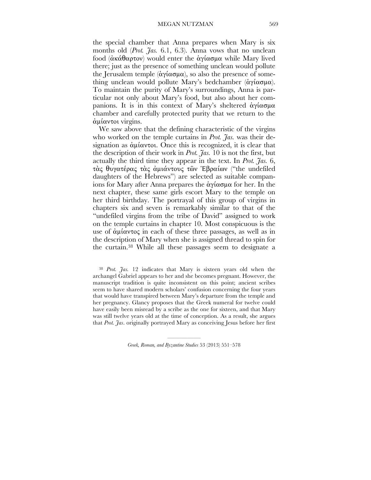the special chamber that Anna prepares when Mary is six months old (*Prot. Jas.* 6.1, 6.3). Anna vows that no unclean food (ἀκάθαρτον) would enter the ἁγίασµα while Mary lived there; just as the presence of something unclean would pollute the Jerusalem temple (άγίασμα), so also the presence of something unclean would pollute Mary's bedchamber (ἁγίασµα). To maintain the purity of Mary's surroundings, Anna is particular not only about Mary's food, but also about her companions. It is in this context of Mary's sheltered ἁγίασµα chamber and carefully protected purity that we return to the ἀµίαντοι virgins.

We saw above that the defining characteristic of the virgins who worked on the temple curtains in *Prot. Jas.* was their designation as ἀµίαντοι. Once this is recognized, it is clear that the description of their work in *Prot. Jas.* 10 is not the first, but actually the third time they appear in the text. In *Prot. Jas.* 6, τὰς θυγατέρας τὰς ἀµιάντους τῶν Ἑβραίων ("the undefiled daughters of the Hebrews") are selected as suitable companions for Mary after Anna prepares the ἁγίασµα for her. In the next chapter, these same girls escort Mary to the temple on her third birthday. The portrayal of this group of virgins in chapters six and seven is remarkably similar to that of the "undefiled virgins from the tribe of David" assigned to work on the temple curtains in chapter 10. Most conspicuous is the use of ἀµίαντος in each of these three passages, as well as in the description of Mary when she is assigned thread to spin for the curtain. 38 While all these passages seem to designate a

<sup>38</sup> *Prot. Jas.* 12 indicates that Mary is sixteen years old when the archangel Gabriel appears to her and she becomes pregnant. However, the manuscript tradition is quite inconsistent on this point; ancient scribes seem to have shared modern scholars' confusion concerning the four years that would have transpired between Mary's departure from the temple and her pregnancy. Glancy proposes that the Greek numeral for twelve could have easily been misread by a scribe as the one for sixteen, and that Mary was still twelve years old at the time of conception. As a result, she argues that *Prot. Jas*. originally portrayed Mary as conceiving Jesus before her first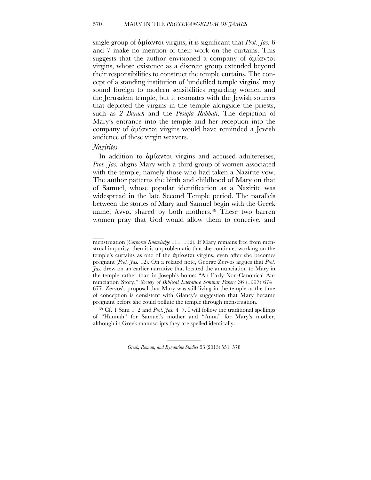## 570 MARY IN THE *PROTEVANGELIUM OF JAMES*

single group of ἀµίαντοι virgins, it is significant that *Prot. Jas.* 6 and 7 make no mention of their work on the curtains. This suggests that the author envisioned a company of ἀµίαντοι virgins, whose existence as a discrete group extended beyond their responsibilities to construct the temple curtains. The concept of a standing institution of 'undefiled temple virgins' may sound foreign to modern sensibilities regarding women and the Jerusalem temple, but it resonates with the Jewish sources that depicted the virgins in the temple alongside the priests, such as *2 Baruch* and the *Pesiqta Rabbati*. The depiction of Mary's entrance into the temple and her reception into the company of ἀµίαντοι virgins would have reminded a Jewish audience of these virgin weavers.

## *Nazirites*

 $\mathcal{L}_\mathcal{L}$ 

In addition to άμίαντοι virgins and accused adulteresses, Prot. 7as. aligns Mary with a third group of women associated with the temple, namely those who had taken a Nazirite vow. The author patterns the birth and childhood of Mary on that of Samuel, whose popular identification as a Nazirite was widespread in the late Second Temple period. The parallels between the stories of Mary and Samuel begin with the Greek name, Αννα, shared by both mothers. 39 These two barren women pray that God would allow them to conceive, and

menstruation (*Corporal Knowledge* 111–112). If Mary remains free from menstrual impurity, then it is unproblematic that she continues working on the temple's curtains as one of the ἀµίαντοι virgins, even after she becomes pregnant (*Prot. Jas.* 12). On a related note, George Zervos argues that *Prot. Jas.* drew on an earlier narrative that located the annunciation to Mary in the temple rather than in Joseph's home: "An Early Non-Canonical Annunciation Story," *Society of Biblical Literature Seminar Papers* 36 (1997) 674– 677. Zervos's proposal that Mary was still living in the temple at the time of conception is consistent with Glancy's suggestion that Mary became pregnant before she could pollute the temple through menstruation.

<sup>&</sup>lt;sup>39</sup> Cf. 1 Sam  $1-2$  and *Prot.*  $\tilde{f}$ as.  $4-7$ . I will follow the traditional spellings of "Hannah" for Samuel's mother and "Anna" for Mary's mother, although in Greek manuscripts they are spelled identically.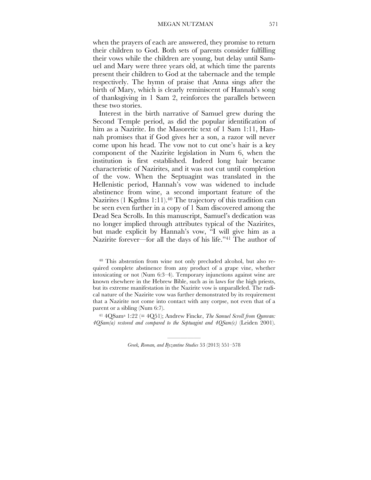when the prayers of each are answered, they promise to return their children to God. Both sets of parents consider fulfilling their vows while the children are young, but delay until Samuel and Mary were three years old, at which time the parents present their children to God at the tabernacle and the temple respectively. The hymn of praise that Anna sings after the birth of Mary, which is clearly reminiscent of Hannah's song of thanksgiving in 1 Sam 2, reinforces the parallels between these two stories.

Interest in the birth narrative of Samuel grew during the Second Temple period, as did the popular identification of him as a Nazirite. In the Masoretic text of 1 Sam 1:11, Hannah promises that if God gives her a son, a razor will never come upon his head. The vow not to cut one's hair is a key component of the Nazirite legislation in Num 6, when the institution is first established. Indeed long hair became characteristic of Nazirites, and it was not cut until completion of the vow. When the Septuagint was translated in the Hellenistic period, Hannah's vow was widened to include abstinence from wine, a second important feature of the Nazirites (1 Kgdms 1:11). 40 The trajectory of this tradition can be seen even further in a copy of 1 Sam discovered among the Dead Sea Scrolls. In this manuscript, Samuel's dedication was no longer implied through attributes typical of the Nazirites, but made explicit by Hannah's vow, "I will give him as a Nazirite forever—for all the days of his life."41 The author of

40 This abstention from wine not only precluded alcohol, but also required complete abstinence from any product of a grape vine, whether intoxicating or not (Num 6:3–4). Temporary injunctions against wine are known elsewhere in the Hebrew Bible, such as in laws for the high priests, but its extreme manifestation in the Nazirite vow is unparalleled. The radical nature of the Nazirite vow was further demonstrated by its requirement that a Nazirite not come into contact with any corpse, not even that of a parent or a sibling (Num 6:7).

<sup>41</sup> 4QSama 1:22 (= 4Q51); Andrew Fincke, *The Samuel Scroll from Qumran: 4QSam(a) restored and compared to the Septuagint and 4QSam(c)* (Leiden 2001).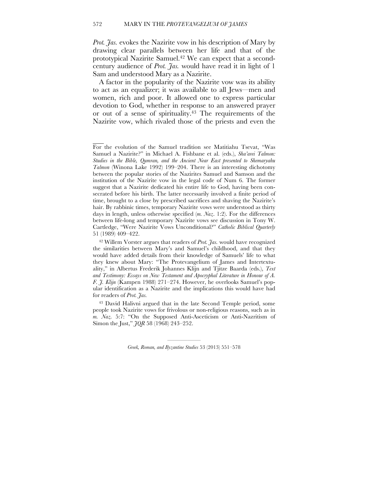*Prot. Jas.* evokes the Nazirite vow in his description of Mary by drawing clear parallels between her life and that of the prototypical Nazirite Samuel. 42 We can expect that a secondcentury audience of *Prot. Jas.* would have read it in light of 1 Sam and understood Mary as a Nazirite.

A factor in the popularity of the Nazirite vow was its ability to act as an equalizer; it was available to all Jews—men and women, rich and poor. It allowed one to express particular devotion to God, whether in response to an answered prayer or out of a sense of spirituality. 43 The requirements of the Nazirite vow, which rivaled those of the priests and even the

 $\overline{\phantom{a}}$ 

For the evolution of the Samuel tradition see Matitiahu Tsevat, "Was Samuel a Nazirite?" in Michael A. Fishbane et al. (eds.), *Sha'arei Talmon: Studies in the Bible, Qumran, and the Ancient Near East presented to Shemaryahu Talmon* (Winona Lake 1992) 199–204. There is an interesting dichotomy between the popular stories of the Nazirites Samuel and Samson and the institution of the Nazirite vow in the legal code of Num 6. The former suggest that a Nazirite dedicated his entire life to God, having been consecrated before his birth. The latter necessarily involved a finite period of time, brought to a close by prescribed sacrifices and shaving the Nazirite's hair. By rabbinic times, temporary Nazirite vows were understood as thirty days in length, unless otherwise specified (*m. Naz*. 1:2). For the differences between life-long and temporary Nazirite vows see discussion in Tony W. Cartledge, "Were Nazirite Vows Unconditional?" *Catholic Biblical Quarterly* 51 (1989) 409–422.

<sup>42</sup> Willem Vorster argues that readers of *Prot. Jas.* would have recognized the similarities between Mary's and Samuel's childhood, and that they would have added details from their knowledge of Samuels' life to what they knew about Mary: "The Protevangelium of James and Intertextuality," in Albertus Frederik Johannes Klijn and Tjitze Baarda (eds.), *Text and Testimony: Essays on New Testament and Apocryphal Literature in Honour of A. F. J. Klijn* (Kampen 1988) 271–274. However, he overlooks Samuel's popular identification as a Nazirite and the implications this would have had for readers of *Prot. Jas.*

<sup>43</sup> David Halivni argued that in the late Second Temple period, some people took Nazirite vows for frivolous or non-religious reasons, such as in *m. Naz.* 5:7: "On the Supposed Anti-Asceticism or Anti-Nazritism of Simon the Just," *JQR* 58 (1968) 243–252.

<sup>—————</sup> *Greek, Roman, and Byzantine Studies* 53 (2013) 551–578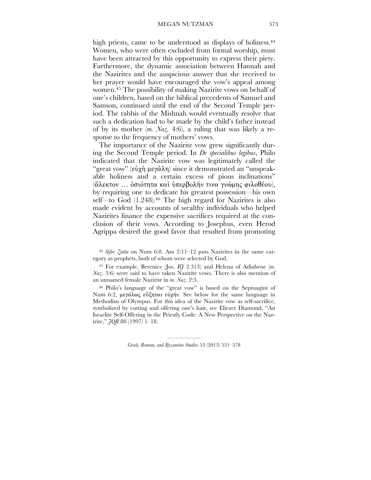high priests, came to be understood as displays of holiness.<sup>44</sup> Women, who were often excluded from formal worship, must have been attracted by this opportunity to express their piety. Furthermore, the dynamic association between Hannah and the Nazirites and the auspicious answer that she received to her prayer would have encouraged the vow's appeal among women. 45 The possibility of making Nazirite vows on behalf of one's children, based on the biblical precedents of Samuel and Samson, continued until the end of the Second Temple period. The rabbis of the Mishnah would eventually resolve that such a dedication had to be made by the child's father instead of by its mother (*m. Naz.* 4:6), a ruling that was likely a response to the frequency of mothers' vows.

The importance of the Nazirite vow grew significantly during the Second Temple period. In *De specialibus legibus*, Philo indicated that the Nazirite vow was legitimately called the "great vow" (εὐχὴ µεγάλη) since it demonstrated an "unspeakable holiness and a certain excess of pious inclinations" (ἄλεκτον … ὁσιότητα καὶ ὑπερβολήν τινα γνώµης φιλοθέου), by requiring one to dedicate his greatest possession—his own self—to God (1.248). 46 The high regard for Nazirites is also made evident by accounts of wealthy individuals who helped Nazirites finance the expensive sacrifices required at the conclusion of their vows. According to Josephus, even Herod Agrippa desired the good favor that resulted from promoting

<sup>44</sup> *Sifre Zutta* on Num 6:8. Am 2:11–12 puts Nazirites in the same category as prophets, both of whom were selected by God.

45 For example, Berenice (Jos. *BJ* 2.313) and Helena of Adiabene (*m. Naz*. 3:6) were said to have taken Nazirite vows. There is also mention of an unnamed female Nazirite in *m. Naz*. 2:3.

46 Philo's language of the "great vow" is based on the Septuagint of Num 6:2, µεγάλως εὔξηται εὐχήν. See below for the same language in Methodius of Olympus. For this idea of the Nazirite vow as self-sacrifice, symbolized by cutting and offering one's hair, see Eliezer Diamond, "An Israelite Self-Offering in the Priestly Code: A New Perspective on the Nazirite," *JQR* 88 (1997) 1–18.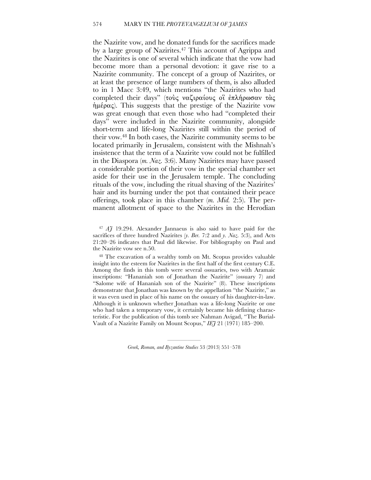## 574 MARY IN THE *PROTEVANGELIUM OF JAMES*

the Nazirite vow, and he donated funds for the sacrifices made by a large group of Nazirites. 47 This account of Agrippa and the Nazirites is one of several which indicate that the vow had become more than a personal devotion: it gave rise to a Nazirite community. The concept of a group of Nazirites, or at least the presence of large numbers of them, is also alluded to in 1 Macc 3:49, which mentions "the Nazirites who had completed their days" (τούς ναζιραίους οι επλήρωσαν τὰς ἡµέρας). This suggests that the prestige of the Nazirite vow was great enough that even those who had "completed their days" were included in the Nazirite community, alongside short-term and life-long Nazirites still within the period of their vow. 48 In both cases, the Nazirite community seems to be located primarily in Jerusalem, consistent with the Mishnah's insistence that the term of a Nazirite vow could not be fulfilled in the Diaspora (*m. Naz.* 3:6). Many Nazirites may have passed a considerable portion of their vow in the special chamber set aside for their use in the Jerusalem temple. The concluding rituals of the vow, including the ritual shaving of the Nazirites' hair and its burning under the pot that contained their peace offerings, took place in this chamber (*m. Mid.* 2:5). The permanent allotment of space to the Nazirites in the Herodian

<sup>47</sup> *AJ* 19.294. Alexander Jannaeus is also said to have paid for the sacrifices of three hundred Nazirites (*y. Ber.* 7:2 and *y. Naz.* 5:3), and Acts 21:20–26 indicates that Paul did likewise. For bibliography on Paul and the Nazirite vow see n.50.

48 The excavation of a wealthy tomb on Mt. Scopus provides valuable insight into the esteem for Nazirites in the first half of the first century C.E. Among the finds in this tomb were several ossuaries, two with Aramaic inscriptions: "Hananiah son of Jonathan the Nazirite" (ossuary 7) and "Salome wife of Hananiah son of the Nazirite" (8). These inscriptions demonstrate that Jonathan was known by the appellation "the Nazirite," as it was even used in place of his name on the ossuary of his daughter-in-law. Although it is unknown whether Jonathan was a life-long Nazirite or one who had taken a temporary vow, it certainly became his defining characteristic. For the publication of this tomb see Nahman Avigad, "The Burial-Vault of a Nazirite Family on Mount Scopus," *IEJ* 21 (1971) 185–200.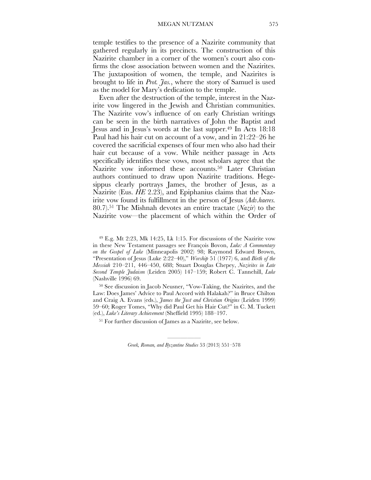temple testifies to the presence of a Nazirite community that gathered regularly in its precincts. The construction of this Nazirite chamber in a corner of the women's court also confirms the close association between women and the Nazirites. The juxtaposition of women, the temple, and Nazirites is brought to life in *Prot. Jas.*, where the story of Samuel is used as the model for Mary's dedication to the temple.

Even after the destruction of the temple, interest in the Nazirite vow lingered in the Jewish and Christian communities. The Nazirite vow's influence of on early Christian writings can be seen in the birth narratives of John the Baptist and Jesus and in Jesus's words at the last supper. 49 In Acts 18:18 Paul had his hair cut on account of a vow, and in 21:22–26 he covered the sacrificial expenses of four men who also had their hair cut because of a vow. While neither passage in Acts specifically identifies these vows, most scholars agree that the Nazirite vow informed these accounts. 50 Later Christian authors continued to draw upon Nazirite traditions. Hegesippus clearly portrays James, the brother of Jesus, as a Nazirite (Eus. *HE* 2.23), and Epiphanius claims that the Nazirite vow found its fulfillment in the person of Jesus (*Adv.haeres.* 80.7). 51 The Mishnah devotes an entire tractate (*Nazir*) to the Nazirite vow—the placement of which within the Order of

49 E.g. Mt 2:23, Mk 14:25, Lk 1:15. For discussions of the Nazirite vow in these New Testament passages see François Bovon, *Luke: A Commentary on the Gospel of Luke* (Minneapolis 2002) 98; Raymond Edward Brown, "Presentation of Jesus (Luke 2:22–40)," *Worship* 51 (1977) 6, and *Birth of the Messiah* 210–211, 446–450, 688; Stuart Douglas Chepey, *Nazirites in Late Second Temple Judaism* (Leiden 2005) 147–159; Robert C. Tannehill, *Luke* (Nashville 1996) 69.

50 See discussion in Jacob Neusner, "Vow-Taking, the Nazirites, and the Law: Does James' Advice to Paul Accord with Halakah?" in Bruce Chilton and Craig A. Evans (eds.), *James the Just and Christian Origins* (Leiden 1999) 59–60; Roger Tomes, "Why did Paul Get his Hair Cut?" in C. M. Tuckett (ed.), *Luke's Literary Achievement* (Sheffield 1995) 188–197.

51 For further discussion of James as a Nazirite, see below.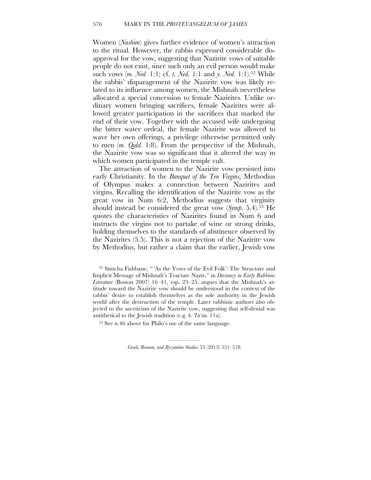Women (*Nashim*) gives further evidence of women's attraction to the ritual. However, the rabbis expressed considerable disapproval for the vow, suggesting that Nazirite vows of suitable people do not exist, since such only an evil person would make such vows (*m. Ned.* 1:1; cf. *t. Ned.* 1:1 and *y. Ned.* 1:1). 52 While the rabbis' disparagement of the Nazirite vow was likely related to its influence among women, the Mishnah nevertheless allocated a special concession to female Nazirites. Unlike ordinary women bringing sacrifices, female Nazirites were allowed greater participation in the sacrifices that marked the end of their vow. Together with the accused wife undergoing the bitter water ordeal, the female Nazirite was allowed to wave her own offerings, a privilege otherwise permitted only to men (*m. Qidd.* 1:8). From the perspective of the Mishnah, the Nazirite vow was so significant that it altered the way in which women participated in the temple cult.

The attraction of women to the Nazirite vow persisted into early Christianity. In the *Banquet of the Ten Virgins,* Methodius of Olympus makes a connection between Nazirites and virgins. Recalling the identification of the Nazirite vow as the great vow in Num 6:2, Methodius suggests that virginity should instead be considered the great vow (*Symp.* 5.4). 53 He quotes the characteristics of Nazirites found in Num 6 and instructs the virgins not to partake of wine or strong drinks, holding themselves to the standards of abstinence observed by the Nazirites (5.5). This is not a rejection of the Nazirite vow by Methodius, but rather a claim that the earlier, Jewish vow

53 See n.46 above for Philo's use of the same language.

<sup>52</sup> Simcha Fishbane, " 'As the Vows of the Evil Folk': The Structure and Implicit Message of Mishnah's Tractate Nazir," in *Deviancy in Early Rabbinic Literature* (Boston 2007) 16–41, esp. 23–25, argues that the Mishnah's attitude toward the Nazirite vow should be understood in the context of the rabbis' desire to establish themselves as the sole authority in the Jewish world after the destruction of the temple. Later rabbinic authors also objected to the asceticism of the Nazirite vow, suggesting that self-denial was antithetical to the Jewish tradition (e.g. *b. Ta'an.* 11a).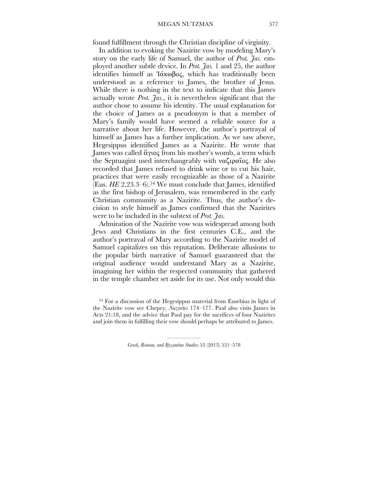found fulfillment through the Christian discipline of virginity.

In addition to evoking the Nazirite vow by modeling Mary's story on the early life of Samuel, the author of *Prot. Jas.* employed another subtle device. In *Prot. Jas.* 1 and 25, the author identifies himself as Ἰάκωβος, which has traditionally been understood as a reference to James, the brother of Jesus. While there is nothing in the text to indicate that this James actually wrote *Prot. Jas.*, it is nevertheless significant that the author chose to assume his identity. The usual explanation for the choice of James as a pseudonym is that a member of Mary's family would have seemed a reliable source for a narrative about her life. However, the author's portrayal of himself as James has a further implication. As we saw above, Hegesippus identified James as a Nazirite. He wrote that James was called ἅγιος from his mother's womb, a term which the Septuagint used interchangeably with ναζιραῖος. He also recorded that James refused to drink wine or to cut his hair, practices that were easily recognizable as those of a Nazirite (Eus. *HE* 2.23.3–6). 54 We must conclude that James, identified as the first bishop of Jerusalem, was remembered in the early Christian community as a Nazirite. Thus, the author's decision to style himself as James confirmed that the Nazirites were to be included in the subtext of *Prot. Jas.*

Admiration of the Nazirite vow was widespread among both Jews and Christians in the first centuries C.E., and the author's portrayal of Mary according to the Nazirite model of Samuel capitalizes on this reputation. Deliberate allusions to the popular birth narrative of Samuel guaranteed that the original audience would understand Mary as a Nazirite, imagining her within the respected community that gathered in the temple chamber set aside for its use. Not only would this

<sup>54</sup> For a discussion of the Hegesippus material from Eusebius in light of the Nazirite vow see Chepey, *Nazirites* 174–177. Paul also visits James in Acts 21:18, and the advice that Paul pay for the sacrifices of four Nazirites and join them in fulfilling their vow should perhaps be attributed to James.

<sup>—————</sup> *Greek, Roman, and Byzantine Studies* 53 (2013) 551–578